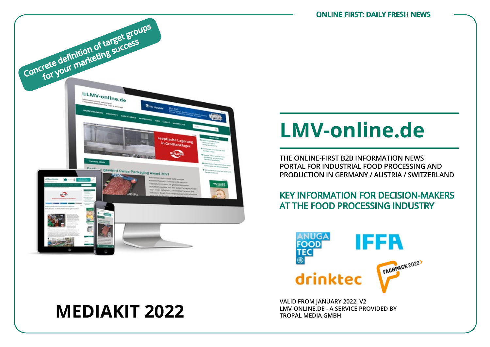

# **LMV-ONLINE.DE - A SERVICE PROVIDED BY MEDIAKIT 2022 TROPAL MEDIA GMBH**

# **LMV-online.de**

**THE ONLINE-FIRST B2B INFORMATION NEWS PORTAL FOR INDUSTRIAL FOOD PROCESSING AND PRODUCTION IN GERMANY / AUSTRIA / SWITZERLAND**

## KEY INFORMATION FOR DECISION-MAKERS AT THE FOOD PROCESSING INDUSTRY



**VALID FROM JANUARY 2022, V2**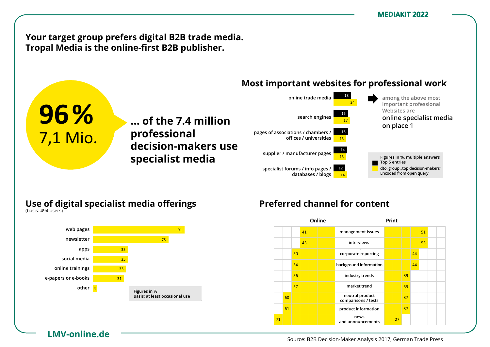**Your target group prefers digital B2B trade media.** Tropal Media is the online-first B2B publisher.

**… der 7,4 Mio. ... of the 7.4 million** 

**Entscheider**  80 **decision-makers use** 

**Professionellen professional** 

#### **Most important websites for professional work** vertretern/ Ämtern/e.V.s/ Instituten/ Unis t websites for prof



### **Use of digital specialist media offerings B2B-Entscheides**<br>B2B-Bisse 2017, *B*2B-Bisse *B* Nutzung digitaler Fachmedien-Angebote

**nutzung ließen Fachanden Specialist media** 



**LMV-online.de**

**96%**

1 7,1 Mio.

am Arbeitsplatz

zu Hause

(Basis: 502 Nutzer)

(Basis: 494 Nutzer)

## Preferred channel for content

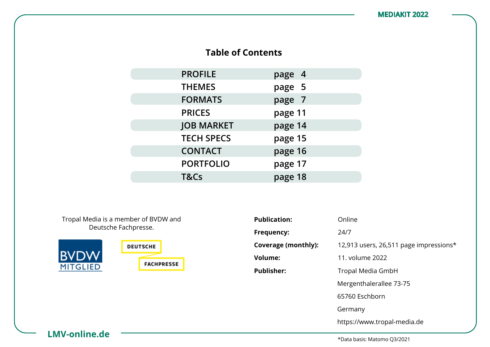## **Table of Contents**

| <b>PROFILE</b>    | page 4  |
|-------------------|---------|
| <b>THEMES</b>     | page 5  |
| <b>FORMATS</b>    | page 7  |
| <b>PRICES</b>     | page 11 |
| <b>JOB MARKET</b> | page 14 |
| <b>TECH SPECS</b> | page 15 |
| <b>CONTACT</b>    | page 16 |
| <b>PORTFOLIO</b>  | page 17 |
| T&Cs              | page 18 |

Tropal Media is a member of BVDW and Deutsche Fachpresse.



| <b>Publication:</b> | Online                                 |
|---------------------|----------------------------------------|
| Frequency:          | 24/7                                   |
| Coverage (monthly): | 12,913 users, 26,511 page impressions* |
| Volume:             | 11. volume 2022                        |
| <b>Publisher:</b>   | Tropal Media GmbH                      |
|                     | Mergenthalerallee 73-75                |
|                     | 65760 Eschborn                         |
|                     | Germany                                |
|                     | https://www.tropal-media.de            |

**LMV-online.de**

\*Data basis: Matomo Q3/2021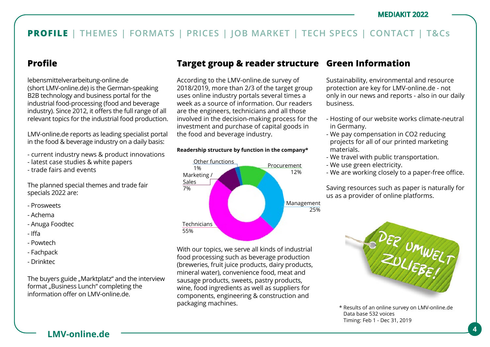## **Profile**

lebensmittelverarbeitung-online.de (short LMV-online.de) is the German-speaking B2B technology and business portal for the industrial food-processing (food and beverage industry). Since 2012, it offers the full range of all relevant topics for the industrial food production.

LMV-online.de reports as leading specialist portal in the food & beverage industry on a daily basis:

- current industry news & product innovations
- latest case studies & white papers
- trade fairs and events

The planned special themes and trade fair specials 2022 are:

- Prosweets
- Achema
- Anuga Foodtec
- Iffa
- Powtech
- Fachpack
- Drinktec

The buyers guide "Marktplatz" and the interview format "Business Lunch" completing the information offer on LMV-online.de.

## **Target group & reader structure Green Information**

According to the LMV-online.de survey of 2018/2019, more than 2/3 of the target group uses online industry portals several times a week as a source of information. Our readers are the engineers, technicians and all those involved in the decision-making process for the investment and purchase of capital goods in the food and beverage industry.

### **Readership structure by function in the company\***



With our topics, we serve all kinds of industrial food processing such as beverage production (breweries, fruit juice products, dairy products, mineral water), convenience food, meat and sausage products, sweets, pastry products, wine, food ingredients as well as suppliers for components, engineering & construction and packaging machines.

Sustainability, environmental and resource protection are key for LMV-online.de - not only in our news and reports - also in our daily business.

- Hosting of our website works climate-neutral in Germany.
- We pay compensation in CO2 reducing projects for all of our printed marketing materials.
- We travel with public transportation.
- We use green electricity.
- We are working closely to a paper-free office.

Saving resources such as paper is naturally for us as a provider of online platforms.



\* Results of an online survey on LMV-online.de Data base 532 voices Timing: Feb 1 - Dec 31, 2019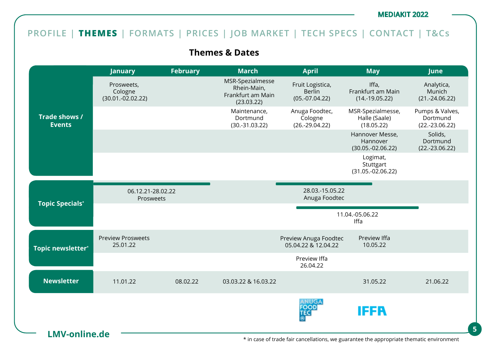## **PROFILE | THEMES | FORMATS | PRICES | JOB MARKET | TECH SPECS | CONTACT | T&Cs**

**Themes & Dates**

|                                | January                                      | <b>February</b> | <b>March</b>                                                       | <b>April</b>                                          | <b>May</b>                                         | June                                            |
|--------------------------------|----------------------------------------------|-----------------|--------------------------------------------------------------------|-------------------------------------------------------|----------------------------------------------------|-------------------------------------------------|
|                                | Prosweets,<br>Cologne<br>$(30.01.-02.02.22)$ |                 | MSR-Spezialmesse<br>Rhein-Main,<br>Frankfurt am Main<br>(23.03.22) | Fruit Logistica,<br><b>Berlin</b><br>$(05.-07.04.22)$ | Iffa,<br>Frankfurt am Main<br>$(14.-19.05.22)$     | Analytica,<br>Munich<br>$(21.-24.06.22)$        |
| Trade shows /<br><b>Events</b> |                                              |                 | Maintenance,<br>Dortmund<br>$(30.-31.03.22)$                       | Anuga Foodtec,<br>Cologne<br>$(26.-29.04.22)$         | MSR-Spezialmesse,<br>Halle (Saale)<br>(18.05.22)   | Pumps & Valves,<br>Dortmund<br>$(22.-23.06.22)$ |
|                                |                                              |                 |                                                                    |                                                       | Hannover Messe,<br>Hannover<br>$(30.05.-02.06.22)$ | Solids,<br>Dortmund<br>$(22.-23.06.22)$         |
|                                |                                              |                 |                                                                    |                                                       | Logimat,<br>Stuttgart<br>$(31.05.-02.06.22)$       |                                                 |
| <b>Topic Specials*</b>         | 06.12.21-28.02.22<br>Prosweets               |                 |                                                                    | 28.03.-15.05.22<br>Anuga Foodtec                      |                                                    |                                                 |
|                                |                                              |                 |                                                                    |                                                       | 11.04.-05.06.22<br>Iffa                            |                                                 |
| <b>Topic newsletter*</b>       | <b>Preview Prosweets</b><br>25.01.22         |                 |                                                                    | Preview Anuga Foodtec<br>05.04.22 & 12.04.22          | Preview Iffa<br>10.05.22                           |                                                 |
|                                |                                              |                 |                                                                    | Preview Iffa<br>26.04.22                              |                                                    |                                                 |
| <b>Newsletter</b>              | 11.01.22                                     | 08.02.22        | 03.03.22 & 16.03.22                                                |                                                       | 31.05.22                                           | 21.06.22                                        |
|                                |                                              |                 |                                                                    |                                                       |                                                    |                                                 |
|                                |                                              |                 |                                                                    | ANUGA<br><b>FOOD</b><br>TEC.                          | IFFR                                               |                                                 |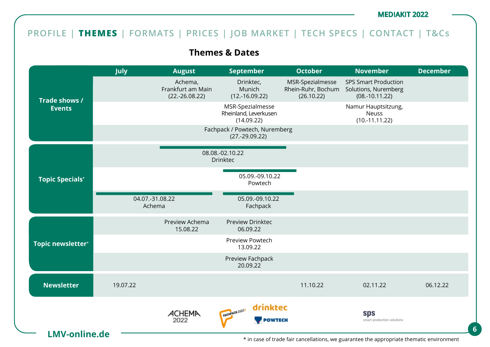## **PROFILE | THEMES | FORMATS | PRICES | JOB MARKET | TECH SPECS | CONTACT | T&Cs**

**Themes & Dates**

| Achema,<br>Frankfurt am Main<br>$(22.-26.08.22)$ | Drinktec,<br>Munich<br>$(12.-16.09.22)$<br>MSR-Spezialmesse<br>Rheinland, Leverkusen<br>(14.09.22)<br>Fachpack / Powtech, Nuremberg<br>$(27.-29.09.22)$<br>08.08.-02.10.22 | MSR-Spezialmesse<br>Rhein-Ruhr, Bochum<br>(26.10.22) | <b>SPS Smart Production</b><br>Solutions, Nuremberg<br>$(08.-10.11.22)$<br>Namur Hauptsitzung,<br><b>Neuss</b><br>$(10.-11.11.22)$ |                                                                                          |
|--------------------------------------------------|----------------------------------------------------------------------------------------------------------------------------------------------------------------------------|------------------------------------------------------|------------------------------------------------------------------------------------------------------------------------------------|------------------------------------------------------------------------------------------|
|                                                  |                                                                                                                                                                            |                                                      |                                                                                                                                    |                                                                                          |
|                                                  |                                                                                                                                                                            |                                                      |                                                                                                                                    |                                                                                          |
|                                                  |                                                                                                                                                                            |                                                      |                                                                                                                                    |                                                                                          |
|                                                  | <b>Drinktec</b>                                                                                                                                                            |                                                      |                                                                                                                                    |                                                                                          |
|                                                  | 05.09.-09.10.22<br>Powtech                                                                                                                                                 |                                                      |                                                                                                                                    |                                                                                          |
| 04.07.-31.08.22<br>Achema                        | 05.09.-09.10.22<br>Fachpack                                                                                                                                                |                                                      |                                                                                                                                    |                                                                                          |
| Preview Achema<br>15.08.22                       | Preview Drinktec<br>06.09.22                                                                                                                                               |                                                      |                                                                                                                                    |                                                                                          |
|                                                  | Preview Powtech<br>13.09.22                                                                                                                                                |                                                      |                                                                                                                                    |                                                                                          |
|                                                  | Preview Fachpack<br>20.09.22                                                                                                                                               |                                                      |                                                                                                                                    |                                                                                          |
|                                                  |                                                                                                                                                                            | 11.10.22                                             | 02.11.22                                                                                                                           | 06.12.22                                                                                 |
|                                                  | drinktec<br>FACHPACK 2022<br><b>POWTECH</b>                                                                                                                                |                                                      | sps<br>smart production solutions                                                                                                  |                                                                                          |
|                                                  | ACHEMA<br>2022                                                                                                                                                             |                                                      |                                                                                                                                    | * in case of trade fair cancellations, we guarantee the appropriate thematic environment |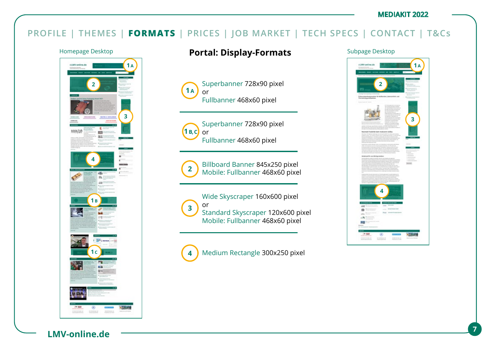## **PROFILE | THEMES | FORMATS | PRICES | JOB MARKET | TECH SPECS | CONTACT | T&Cs**



## Homepage Desktop **Portal: Display-Formats** Subpage Desktop

Superbanner 728x90 pixel or Fullbanner 468x60 pixel **1 A**



Superbanner 728x90 pixel or Fullbanner 468x60 pixel



Billboard Banner 845x250 pixel Mobile: Fullbanner 468x60 pixel

Wide Skyscraper 160x600 pixel or Standard Skyscraper 120x600 pixel Mobile: Fullbanner 468x60 pixel **3**

Medium Rectangle 300x250 pixel **4**



**LMV-online.de <sup>7</sup>**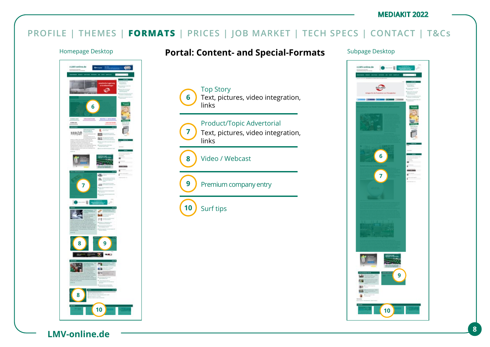## **PROFILE | THEMES | FORMATS | PRICES | JOB MARKET | TECH SPECS | CONTACT | T&Cs**

Top Story

links

**6**

**7**

**9**

**10**

**8**

links

Surf tips

Video / Webcast

Premium company entry



## Homepage Desktop **Portal: Content- and Special-Formats** Subpage Desktop

Text, pictures, video integration,

Text, pictures, video integration,

Product/Topic Advertorial

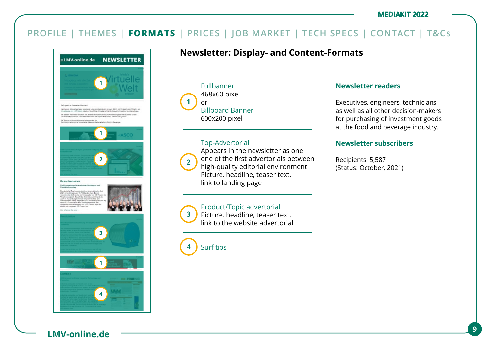## **PROFILE | THEMES | FORMATS | PRICES | JOB MARKET | TECH SPECS | CONTACT | T&Cs**



## **Newsletter: Display- and Content-Formats**

Fullbanner 468x60 pixel or Billboard Banner 600x200 pixel **1**

### Top-Advertorial



**3**

Appears in the newsletter as one one of the first advertorials between high-quality editorial environment Picture, headline, teaser text, link to landing page

## Product/Topic advertorial

Picture, headline, teaser text, link to the website advertorial

Surf tips **4**

### **Newsletter readers**

Executives, engineers, technicians as well as all other decision-makers for purchasing of investment goods at the food and beverage industry.

### **Newsletter subscribers**

Recipients: 5,587 (Status: October, 2021)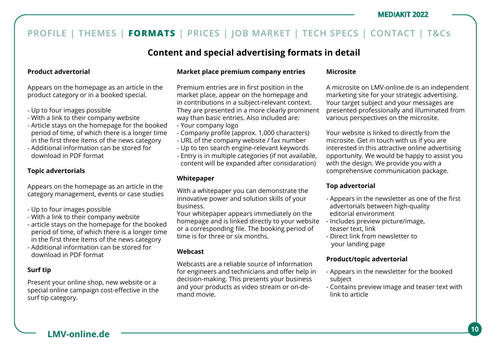## **Content and special advertising formats in detail**

### **Product advertorial**

Appears on the homepage as an article in the product category or in a booked special.

- Up to four images possible
- With a link to their company website
- Article stays on the homepage for the booked period of time, of which there is a longer time in the first three items of the news category
- Additional information can be stored for download in PDF format

### **Topic advertorials**

Appears on the homepage as an article in the category management, events or case studies

- Up to four images possible
- With a link to their company website
- article stays on the homepage for the booked period of time, of which there is a longer time in the first three items of the news category
- Additional information can be stored for download in PDF format

### **Surf tip**

Present your online shop, new website or a special online campaign cost-effective in the surf tip category.

### **Market place premium company entries**

Premium entries are in first position in the market place, appear on the homepage and in contributions in a subject-relevant context. They are presented in a more clearly prominent way than basic entries. Also included are:

- Your company logo
- Company profile (approx. 1,000 characters)
- URL of the company website / fax number
- Up to ten search engine-relevant keywords
- Entry is in multiple categories (if not available, content will be expanded after considaration)

### **Whitepaper**

With a whitepaper you can demonstrate the innovative power and solution skills of your business.

Your whitepaper appears immediately on the homepage and is linked directly to your website or a corresponding file. The booking period of time is for three or six months.

### **Webcast**

Webcasts are a reliable source of information for engineers and technicians and offer help in decision-making. This presents your business and your products as video stream or on-demand movie.

### **Microsite**

A microsite on LMV-online.de is an independent marketing site for your strategic advertising. Your target subject and your messages are presented professionally and illuminated from various perspectives on the microsite.

Your website is linked to directly from the microsite. Get in touch with us if you are interested in this attractive online advertising opportunity. We would be happy to assist you with the design. We provide you with a comprehensive communication package.

### **Top advertorial**

- Appears in the newsletter as one of the first advertorials between high-quality editorial environment
- Includes preview picture/image, teaser text, link
- Direct link from newsletter to your landing page

### **Product/topic advertorial**

- Appears in the newsletter for the booked subject
- Contains preview image and teaser text with link to article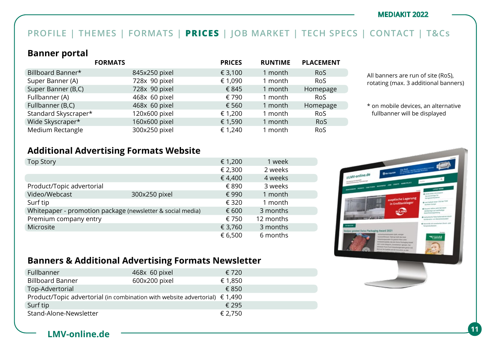## **PROFILE | THEMES | FORMATS | PRICES | JOB MARKET | TECH SPECS | CONTACT | T&Cs**

## **Banner portal**

|                      | <b>FORMATS</b> | <b>PRICES</b> | <b>RUNTIME</b> | <b>PLACEMENT</b> |
|----------------------|----------------|---------------|----------------|------------------|
| Billboard Banner*    | 845x250 pixel  | € 3,100       | 1 month        | <b>RoS</b>       |
| Super Banner (A)     | 728x 90 pixel  | € 1,090       | 1 month        | <b>RoS</b>       |
| Super Banner (B,C)   | 728x 90 pixel  | € 845         | 1 month        | Homepage         |
| Fullbanner (A)       | 468x 60 pixel  | € 790         | 1 month        | <b>RoS</b>       |
| Fullbanner (B,C)     | 468x 60 pixel  | € 560         | 1 month        | Homepage         |
| Standard Skyscraper* | 120x600 pixel  | € 1,200       | 1 month        | <b>RoS</b>       |
| Wide Skyscraper*     | 160x600 pixel  | € 1,590       | 1 month        | <b>RoS</b>       |
| Medium Rectangle     | 300x250 pixel  | € 1,240       | 1 month        | <b>RoS</b>       |

All banners are run of site (RoS), rotating (max. 3 additional banners)

\* on mobile devices, an alternative fullbanner will be displayed

## **Additional Advertising Formats Website**

| <b>Top Story</b>                                           |               | € 1,200  | 1 week    |  |
|------------------------------------------------------------|---------------|----------|-----------|--|
|                                                            |               | € 2,300  | 2 weeks   |  |
|                                                            |               | €4,400   | 4 weeks   |  |
| Product/Topic advertorial                                  |               | € 890    | 3 weeks   |  |
| Video/Webcast                                              | 300x250 pixel | € 990    | 1 month   |  |
| Surf tip                                                   |               | € 320    | 1 month   |  |
| Whitepaper - promotion package (newsletter & social media) | € 600         | 3 months |           |  |
| Premium company entry                                      |               | € 750    | 12 months |  |
| Microsite                                                  |               | € 3,760  | 3 months  |  |
|                                                            |               | € 6,500  | 6 months  |  |



## **Banners & Additional Advertising Formats Newsletter**

| Fullbanner                                                                           | 468x 60 pixel | € 720   |
|--------------------------------------------------------------------------------------|---------------|---------|
| <b>Billboard Banner</b>                                                              | 600x200 pixel | € 1,850 |
| Top-Advertorial                                                                      |               | € 850   |
| Product/Topic advertorial (in combination with website advertorial) $\epsilon$ 1,490 |               |         |
| Surf tip                                                                             |               | € 295   |
| Stand-Alone-Newsletter                                                               |               | € 2,750 |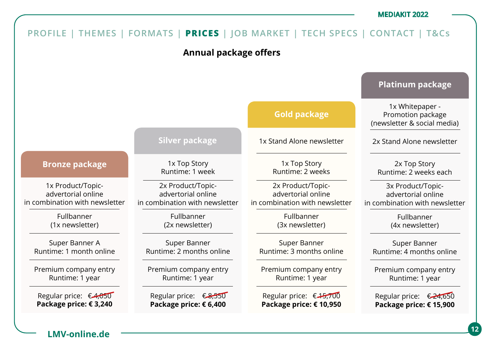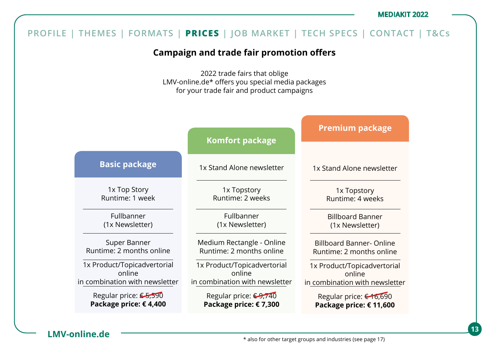#### **PROFILE | THEMES | FORMATS | PRICES | JOB MARKET | TECH SPECS | CONTACT | T&Cs Campaign and trade fair promotion offers** 2022 trade fairs that oblige LMV-online.de\* offers you special media packages for your trade fair and product campaigns 1x Top Story Runtime: 1 week Fullbanner (1x Newsletter) Super Banner Runtime: 2 months online 1x Product/Topicadvertorial online in combination with newsletter Regular price: € 5,590 **Package price: € 4,400 Basic package** 1x Stand Alone newsletter 1x Topstory Runtime: 2 weeks Fullbanner (1x Newsletter) Medium Rectangle - Online Runtime: 2 months online 1x Product/Topicadvertorial online in combination with newsletter Regular price: €9,740 **Package price: € 7,300 Komfort package** 1x Stand Alone newsletter 1x Topstory Runtime: 4 weeks Billboard Banner (1x Newsletter) Billboard Banner- Online Runtime: 2 months online 1x Product/Topicadvertorial online in combination with newsletter Regular price: € 16,690 **Package price: € 11,600 Premium package**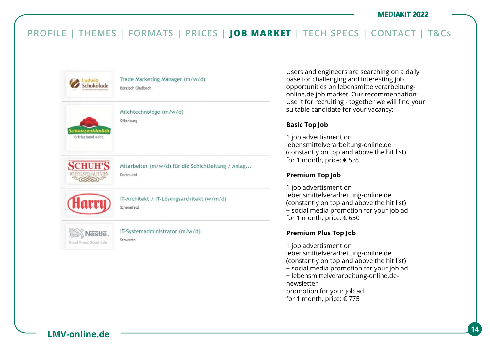

Users and engineers are searching on a daily base for challenging and interesting job opportunities on lebensmittelverarbeitungonline.de job market. Our recommendation: Use it for recruiting - together we will find your suitable candidate for your vacancy:

### **Basic Top Job**

1 job advertisment on lebensmittelverarbeitung-online.de (constantly on top and above the hit list) for 1 month, price: € 535

### **Premium Top Job**

1 job advertisment on lebensmittelverarbeitung-online.de (constantly on top and above the hit list) + social media promotion for your job ad for 1 month, price: € 650

### **Premium Plus Top Job**

1 job advertisment on lebensmittelverarbeitung-online.de (constantly on top and above the hit list) + social media promotion for your job ad + lebensmittelverarbeitung-online.denewsletter promotion for your job ad for 1 month, price: € 775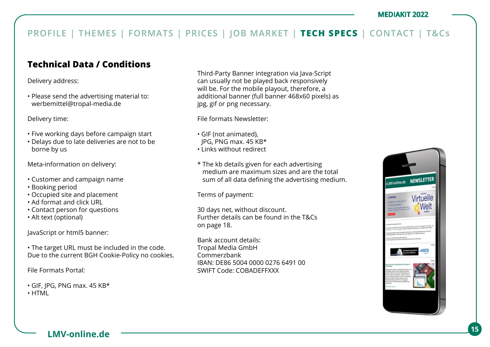## **Technical Data / Conditions**

Delivery address:

• Please send the advertising material to: werbemittel@tropal-media.de

Delivery time:

- Five working days before campaign start
- Delays due to late deliveries are not to be borne by us

Meta-information on delivery:

- Customer and campaign name
- Booking period
- Occupied site and placement
- Ad format and click URL
- Contact person for questions
- Alt text (optional)

JavaScript or html5 banner:

• The target URL must be included in the code. Due to the current BGH Cookie-Policy no cookies.

File Formats Portal:

- GIF, JPG, PNG max. 45 KB\*
- HTML

Third-Party Banner integration via Java-Script can usually not be played back responsively will be. For the mobile playout, therefore, a additional banner (full banner 468x60 pixels) as jpg, gif or png necessary.

File formats Newsletter:

- GIF (not animated),
- JPG, PNG max. 45 KB\*
- Links without redirect
- \* The kb details given for each advertising medium are maximum sizes and are the total sum of all data defining the advertising medium.

Terms of payment:

30 days net, without discount. Further details can be found in the T&Cs on page 18.

Bank account details: Tropal Media GmbH Commerzbank IBAN: DE86 5004 0000 0276 6491 00 SWIFT Code: COBADEFFXXX

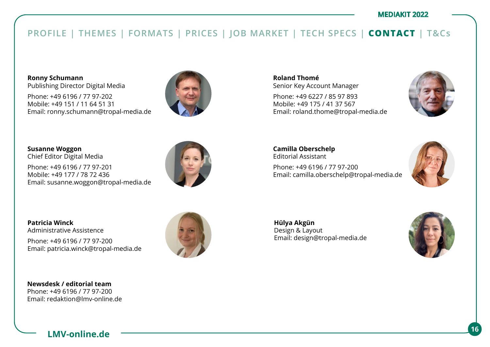## **PROFILE | THEMES | FORMATS | PRICES | JOB MARKET | TECH SPECS | CONTACT | T&Cs**

**Ronny Schumann**  Publishing Director Digital Media

Phone: +49 6196 / 77 97-202 Mobile: +49 151 / 11 64 51 31 Email: ronny.schumann@tropal-media.de



**Susanne Woggon**  Chief Editor Digital Media

Phone: +49 6196 / 77 97-201 Mobile: +49 177 / 78 72 436 Email: susanne.woggon@tropal-media.de



**Patricia Winck** Administrative Assistence

Phone: +49 6196 / 77 97-200 Email: patricia.winck@tropal-media.de



**Roland Thomé** Senior Key Account Manager

Phone: +49 6227 / 85 97 893 Mobile: +49 175 / 41 37 567 Email: roland.thome@tropal-media.de



**Camilla Oberschelp** Editorial Assistant Phone: +49 6196 / 77 97-200 Email: camilla.oberschelp@tropal-media.de



**Hülya Akgün**  Design & Layout Email: design@tropal-media.de

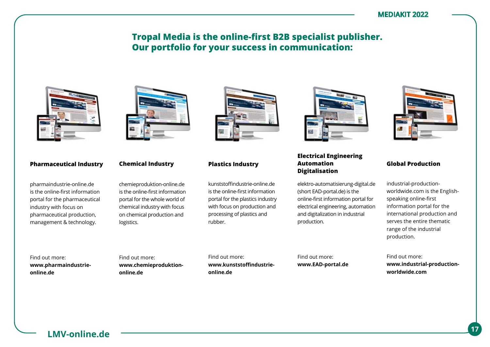## **Tropal Media is the online-first B2B specialist publisher. Our portfolio for your success in communication:**



### **Pharmaceutical Industry**

pharmaindustrie-online.de is the online-first information portal for the pharmaceutical industry with focus on pharmaceutical production, management & technology.



#### **Chemical Industry**

chemieproduktion-online.de is the online-first information portal for the whole world of chemical industry with focus on chemical production and logistics.



### **Plastics Industry**

kunststoffindustrie-online.de is the online-first information portal for the plastics industry with focus on production and processing of plastics and rubber.



### **Electrical Engineering Automation Digitalisation**

elektro-automatisierung-digital.de (short EAD-portal.de) is the online-first information portal for electrical engineering, automation and digitalization in industrial production.



### **Global Production**

industrial-productionworldwide.com is the Englishspeaking online-first information portal for the international production and serves the entire thematic range of the industrial production.

Find out more: **www.EAD-portal.de**

Find out more: **www.industrial-productionworldwide.com** 

Find out more: **www.pharmaindustrieonline.de**

Find out more: **www.chemieproduktiononline.de**

Find out more: **www.kunststoffindustrieonline.de**

**LMV-online.de <sup>17</sup>**